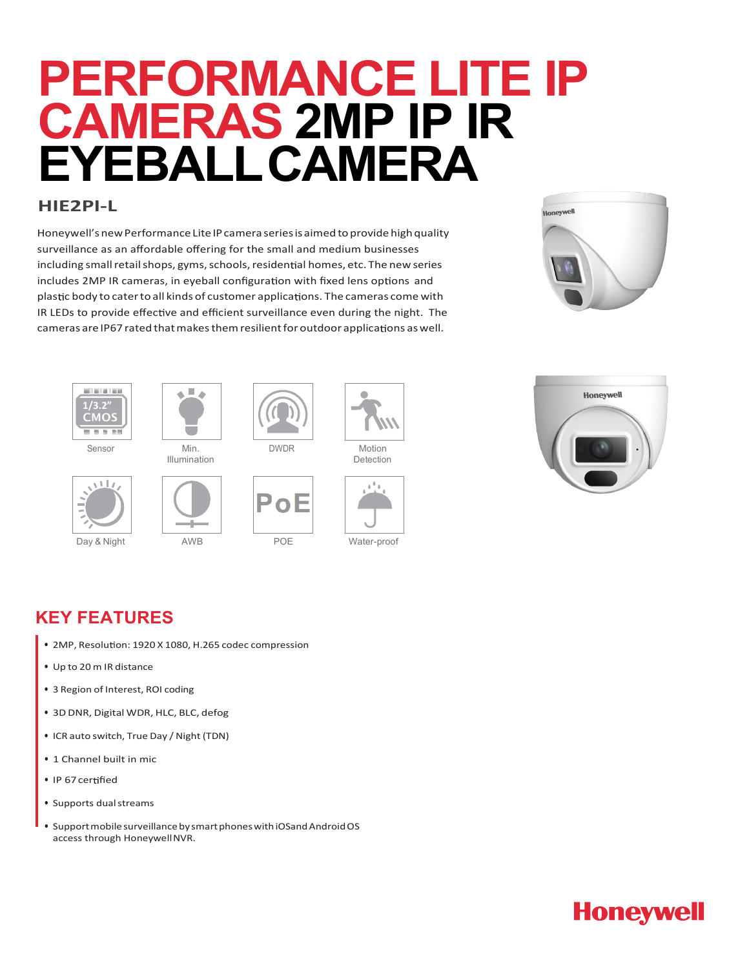# **PERFORMANCE LITE IP CAMERAS 2MP IP IR EYEBALLCAMERA**

#### **HIE2PI-L**

Honeywell's new Performance Lite IP camera series is aimed to provide high quality surveillance as an affordable offering for the small and medium businesses including small retail shops, gyms, schools, residential homes, etc. The new series includes 2MP IR cameras, in eyeball configuration with fixed lens options and plastic body to cater to all kinds of customer applications. The cameras come with IR LEDs to provide effective and efficient surveillance even during the night. The cameras are IP67 rated that makes them resilient for outdoor applications as well.







Illumination











Detection





### **KEY FEATURES**

- 2MP, Resolution: 1920 X 1080, H.265 codec compression
- Up to 20 m IR distance
- 3 Region of Interest, ROI coding
- 3D DNR, Digital WDR, HLC, BLC, defog
- ICR auto switch, True Day / Night (TDN)
- 1 Channel built in mic
- IP 67 certified
- Supports dualstreams
- Support mobile surveillance by smart phones with iOSand Android OS access through HoneywellNVR.

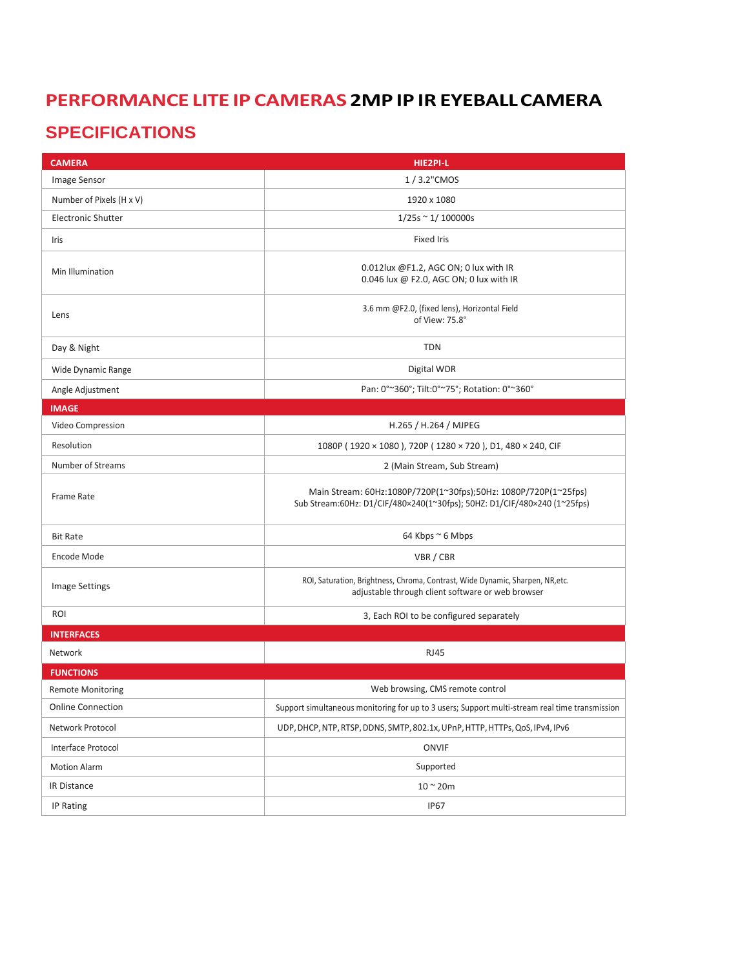#### **PERFORMANCE LITE IP CAMERAS 2MP IP IR EYEBALLCAMERA**

### **SPECIFICATIONS**

| <b>CAMERA</b>             | HIE2PI-L                                                                                                                                    |
|---------------------------|---------------------------------------------------------------------------------------------------------------------------------------------|
| Image Sensor              | 1/3.2"CMOS                                                                                                                                  |
| Number of Pixels (H x V)  | 1920 x 1080                                                                                                                                 |
| <b>Electronic Shutter</b> | $1/25s \approx 1/100000s$                                                                                                                   |
| Iris                      | <b>Fixed Iris</b>                                                                                                                           |
| Min Illumination          | 0.012lux @F1.2, AGC ON; 0 lux with IR<br>0.046 lux @ F2.0, AGC ON; 0 lux with IR                                                            |
| Lens                      | 3.6 mm @F2.0, (fixed lens), Horizontal Field<br>of View: 75.8°                                                                              |
| Day & Night               | <b>TDN</b>                                                                                                                                  |
| Wide Dynamic Range        | Digital WDR                                                                                                                                 |
| Angle Adjustment          | Pan: 0°~360°; Tilt:0°~75°; Rotation: 0°~360°                                                                                                |
| <b>IMAGE</b>              |                                                                                                                                             |
| Video Compression         | H.265 / H.264 / MJPEG                                                                                                                       |
| Resolution                | 1080P (1920 × 1080), 720P (1280 × 720), D1, 480 × 240, CIF                                                                                  |
| Number of Streams         | 2 (Main Stream, Sub Stream)                                                                                                                 |
| <b>Frame Rate</b>         | Main Stream: 60Hz:1080P/720P(1~30fps);50Hz: 1080P/720P(1~25fps)<br>Sub Stream:60Hz: D1/CIF/480×240(1~30fps); 50HZ: D1/CIF/480×240 (1~25fps) |
| <b>Bit Rate</b>           | 64 Kbps ~ 6 Mbps                                                                                                                            |
| Encode Mode               | VBR / CBR                                                                                                                                   |
| <b>Image Settings</b>     | ROI, Saturation, Brightness, Chroma, Contrast, Wide Dynamic, Sharpen, NR, etc.<br>adjustable through client software or web browser         |
| <b>ROI</b>                | 3, Each ROI to be configured separately                                                                                                     |
| <b>INTERFACES</b>         |                                                                                                                                             |
| Network                   | <b>RJ45</b>                                                                                                                                 |
| <b>FUNCTIONS</b>          |                                                                                                                                             |
| <b>Remote Monitoring</b>  | Web browsing, CMS remote control                                                                                                            |
| <b>Online Connection</b>  | Support simultaneous monitoring for up to 3 users; Support multi-stream real time transmission                                              |
| Network Protocol          | UDP, DHCP, NTP, RTSP, DDNS, SMTP, 802.1x, UPnP, HTTP, HTTPs, QoS, IPv4, IPv6                                                                |
| Interface Protocol        | ONVIF                                                                                                                                       |
| <b>Motion Alarm</b>       | Supported                                                                                                                                   |
| <b>IR Distance</b>        | $10 \sim 20m$                                                                                                                               |
| IP Rating                 | <b>IP67</b>                                                                                                                                 |